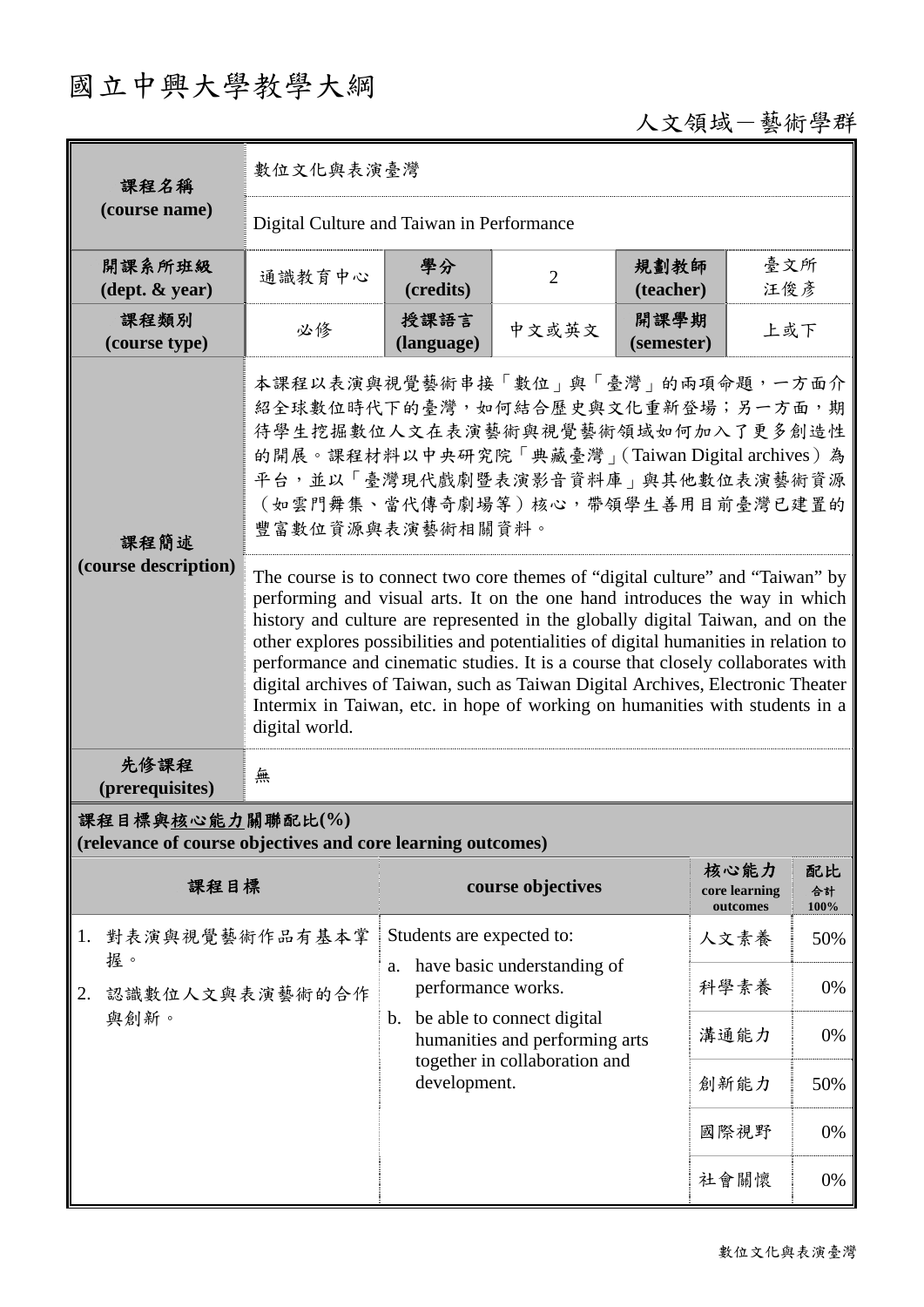## 國立中興大學教學大綱

## 人文領域-藝術學群

| 課程名稱                                                                            | 數位文化與表演臺灣                                                                                                                                                                                                                                                                                                                                                                                                                                                                                                                                                                                                      |                                |                                                                                                                              |                    |                                   |                  |  |
|---------------------------------------------------------------------------------|----------------------------------------------------------------------------------------------------------------------------------------------------------------------------------------------------------------------------------------------------------------------------------------------------------------------------------------------------------------------------------------------------------------------------------------------------------------------------------------------------------------------------------------------------------------------------------------------------------------|--------------------------------|------------------------------------------------------------------------------------------------------------------------------|--------------------|-----------------------------------|------------------|--|
| (course name)                                                                   | Digital Culture and Taiwan in Performance                                                                                                                                                                                                                                                                                                                                                                                                                                                                                                                                                                      |                                |                                                                                                                              |                    |                                   |                  |  |
| 開課系所班級<br>$(\text{dept.} \& \text{ year})$                                      | 通識教育中心                                                                                                                                                                                                                                                                                                                                                                                                                                                                                                                                                                                                         | 學分<br>(credits)                | $\overline{2}$                                                                                                               | 規劃教師<br>(teacher)  | 臺文所<br>汪俊彦                        |                  |  |
| 課程類別<br>(course type)                                                           | 必修                                                                                                                                                                                                                                                                                                                                                                                                                                                                                                                                                                                                             | 授課語言<br>(language)             | 中文或英文                                                                                                                        | 開課學期<br>(semester) | 上或下                               |                  |  |
| 課程簡述                                                                            | 本課程以表演與視覺藝術串接「數位」與「臺灣」的兩項命題,一方面介<br>紹全球數位時代下的臺灣,如何結合歷史與文化重新登場;另一方面,期<br>待學生挖掘數位人文在表演藝術與視覺藝術領域如何加入了更多創造性<br>的開展。課程材料以中央研究院「典藏臺灣」(Taiwan Digital archives)為<br>平台,並以「臺灣現代戲劇暨表演影音資料庫」與其他數位表演藝術資源<br>(如雲門舞集、當代傳奇劇場等)核心,帶領學生善用目前臺灣已建置的<br>豐富數位資源與表演藝術相關資料。                                                                                                                                                                                                                                                                                                                                                          |                                |                                                                                                                              |                    |                                   |                  |  |
| (course description)                                                            | The course is to connect two core themes of "digital culture" and "Taiwan" by<br>performing and visual arts. It on the one hand introduces the way in which<br>history and culture are represented in the globally digital Taiwan, and on the<br>other explores possibilities and potentialities of digital humanities in relation to<br>performance and cinematic studies. It is a course that closely collaborates with<br>digital archives of Taiwan, such as Taiwan Digital Archives, Electronic Theater<br>Intermix in Taiwan, etc. in hope of working on humanities with students in a<br>digital world. |                                |                                                                                                                              |                    |                                   |                  |  |
| 先修課程<br>(prerequisites)                                                         | 無                                                                                                                                                                                                                                                                                                                                                                                                                                                                                                                                                                                                              |                                |                                                                                                                              |                    |                                   |                  |  |
| 課程目標與核心能力關聯配比(%)<br>(relevance of course objectives and core learning outcomes) |                                                                                                                                                                                                                                                                                                                                                                                                                                                                                                                                                                                                                |                                |                                                                                                                              |                    |                                   |                  |  |
| 課程目標                                                                            |                                                                                                                                                                                                                                                                                                                                                                                                                                                                                                                                                                                                                |                                | course objectives                                                                                                            |                    | 核心能力<br>core learning<br>outcomes | 配比<br>合計<br>100% |  |
| 對表演與視覺藝術作品有基本掌<br>1.<br>握。                                                      |                                                                                                                                                                                                                                                                                                                                                                                                                                                                                                                                                                                                                | Students are expected to:      |                                                                                                                              |                    | 人文素養                              | 50%              |  |
| 認識數位人文與表演藝術的合作<br>2.<br>與創新。                                                    |                                                                                                                                                                                                                                                                                                                                                                                                                                                                                                                                                                                                                | a.<br>performance works.       | have basic understanding of<br>be able to connect digital<br>humanities and performing arts<br>together in collaboration and |                    | 科學素養                              | 0%               |  |
|                                                                                 |                                                                                                                                                                                                                                                                                                                                                                                                                                                                                                                                                                                                                | $\mathbf{b}$ .<br>development. |                                                                                                                              |                    | 溝通能力                              | 0%               |  |
|                                                                                 |                                                                                                                                                                                                                                                                                                                                                                                                                                                                                                                                                                                                                |                                |                                                                                                                              |                    | 創新能力                              | 50%              |  |
|                                                                                 |                                                                                                                                                                                                                                                                                                                                                                                                                                                                                                                                                                                                                |                                |                                                                                                                              |                    | 國際視野                              | 0%               |  |
|                                                                                 |                                                                                                                                                                                                                                                                                                                                                                                                                                                                                                                                                                                                                |                                |                                                                                                                              |                    | 社會關懷                              | 0%               |  |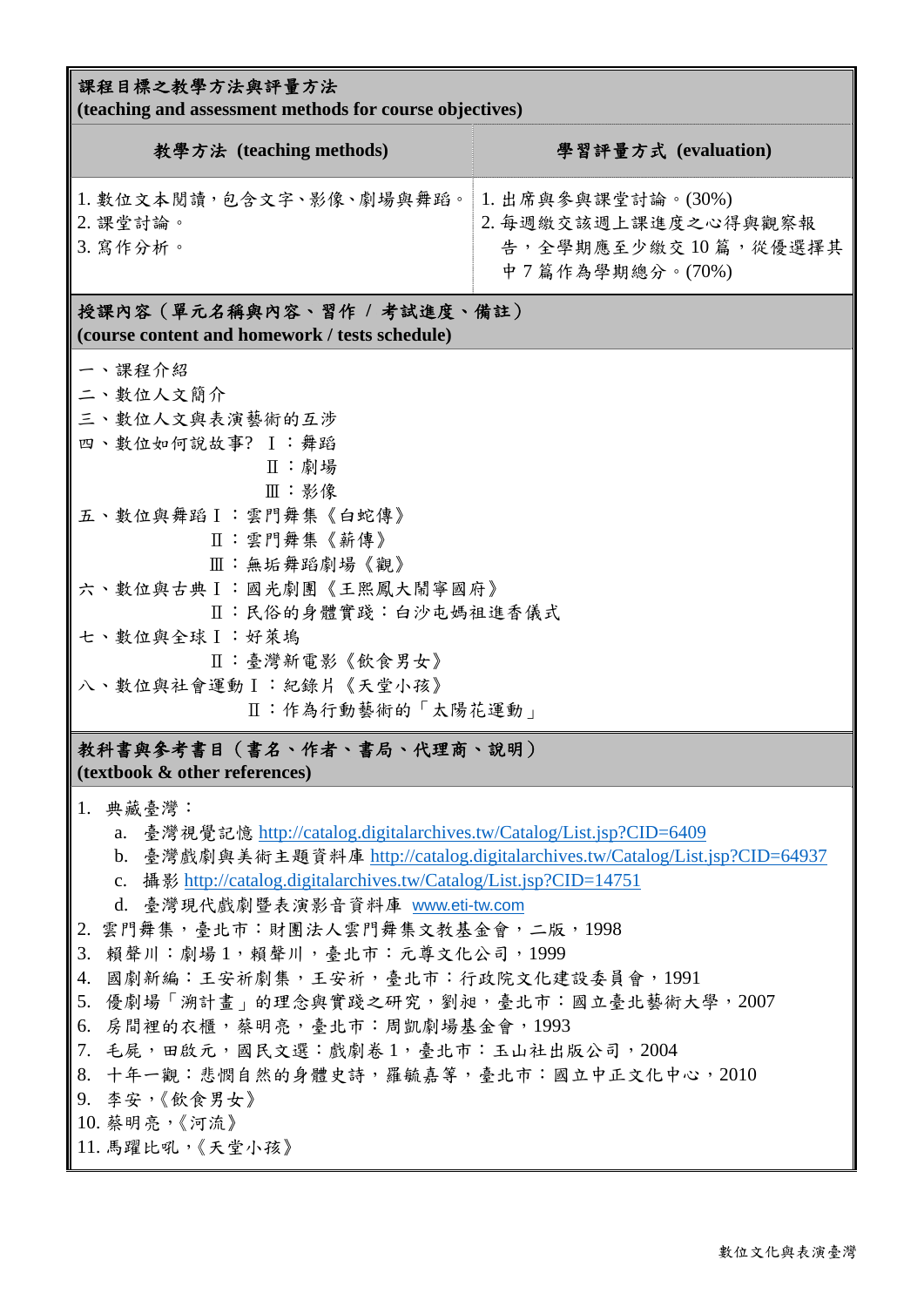| 課程目標之教學方法與評量方法<br>(teaching and assessment methods for course objectives)                                                                                                                                                                                                                                                                                                                                                                                                                                                                                                                                                  |                                                                |  |  |  |  |
|----------------------------------------------------------------------------------------------------------------------------------------------------------------------------------------------------------------------------------------------------------------------------------------------------------------------------------------------------------------------------------------------------------------------------------------------------------------------------------------------------------------------------------------------------------------------------------------------------------------------------|----------------------------------------------------------------|--|--|--|--|
| 教學方法 (teaching methods)                                                                                                                                                                                                                                                                                                                                                                                                                                                                                                                                                                                                    | 學習評量方式 (evaluation)                                            |  |  |  |  |
| 1. 數位文本閱讀, 包含文字、影像、劇場與舞蹈。  1. 出席與參與課堂討論。(30%)<br>2. 課堂討論。<br>3. 寫作分析。                                                                                                                                                                                                                                                                                                                                                                                                                                                                                                                                                      | 2. 每週繳交該週上課進度之心得與觀察報<br>告,全學期應至少繳交10篇,從優選擇其<br>中7篇作為學期總分。(70%) |  |  |  |  |
| 授課內容 (單元名稱與內容、習作 / 考試進度、備註)<br>(course content and homework / tests schedule)                                                                                                                                                                                                                                                                                                                                                                                                                                                                                                                                              |                                                                |  |  |  |  |
| 一、課程介紹<br>二、數位人文簡介<br>三、數位人文與表演藝術的互涉<br>四、數位如何說故事? Ⅰ:舞蹈<br>Ⅱ:劇場<br>Ⅲ:影像<br>五、數位與舞蹈 I : 雲門舞集《白蛇傳》<br>Ⅱ:雲門舞集《薪傳》<br>Ⅲ:無垢舞蹈劇場《觀》<br>六、數位與古典Ⅰ:國光劇團《王熙鳳大鬧寧國府》<br>Ⅱ:民俗的身體實踐:白沙屯媽祖進香儀式<br>七、數位與全球 I:好萊塢<br>Ⅱ:臺灣新電影《飲食男女》<br>八、數位與社會運動Ⅰ:紀錄片《天堂小孩》<br>Ⅱ:作為行動藝術的「太陽花運動」                                                                                                                                                                                                                                                                                                                                                              |                                                                |  |  |  |  |
| 教科書與參考書目(書名、作者、書局、代理商、説明)<br>(textbook & other references)                                                                                                                                                                                                                                                                                                                                                                                                                                                                                                                                                                 |                                                                |  |  |  |  |
| 1. 典藏臺灣:<br>a. 臺灣視覺記憶 http://catalog.digitalarchives.tw/Catalog/List.jsp?CID=6409<br>b. 臺灣戲劇與美術主題資料庫 http://catalog.digitalarchives.tw/Catalog/List.jsp?CID=64937<br>c. 攝影 http://catalog.digitalarchives.tw/Catalog/List.jsp?CID=14751<br>d. 臺灣現代戲劇暨表演影音資料庫 www.eti-tw.com<br>2. 雲門舞集,臺北市:財團法人雲門舞集文教基金會,二版,1998<br>賴聲川:劇場1,賴聲川,臺北市:元尊文化公司,1999<br>3.<br>國劇新編:王安祈劇集,王安祈,臺北市:行政院文化建設委員會,1991<br>4.<br>5. 優劇場「溯計畫」的理念與實踐之研究,劉昶,臺北市:國立臺北藝術大學,2007<br>6. 房間裡的衣櫃,蔡明亮,臺北市:周凱劇場基金會,1993<br>7. 毛屍,田啟元,國民文選:戲劇卷1,臺北市:玉山社出版公司,2004<br>8. 十年一觀:悲憫自然的身體史詩,羅毓嘉等,臺北市:國立中正文化中心,2010<br>9. 李安,《飲食男女》<br>10. 蔡明亮,《河流》<br>   11. 馬躍比吼,《天堂小孩》 |                                                                |  |  |  |  |